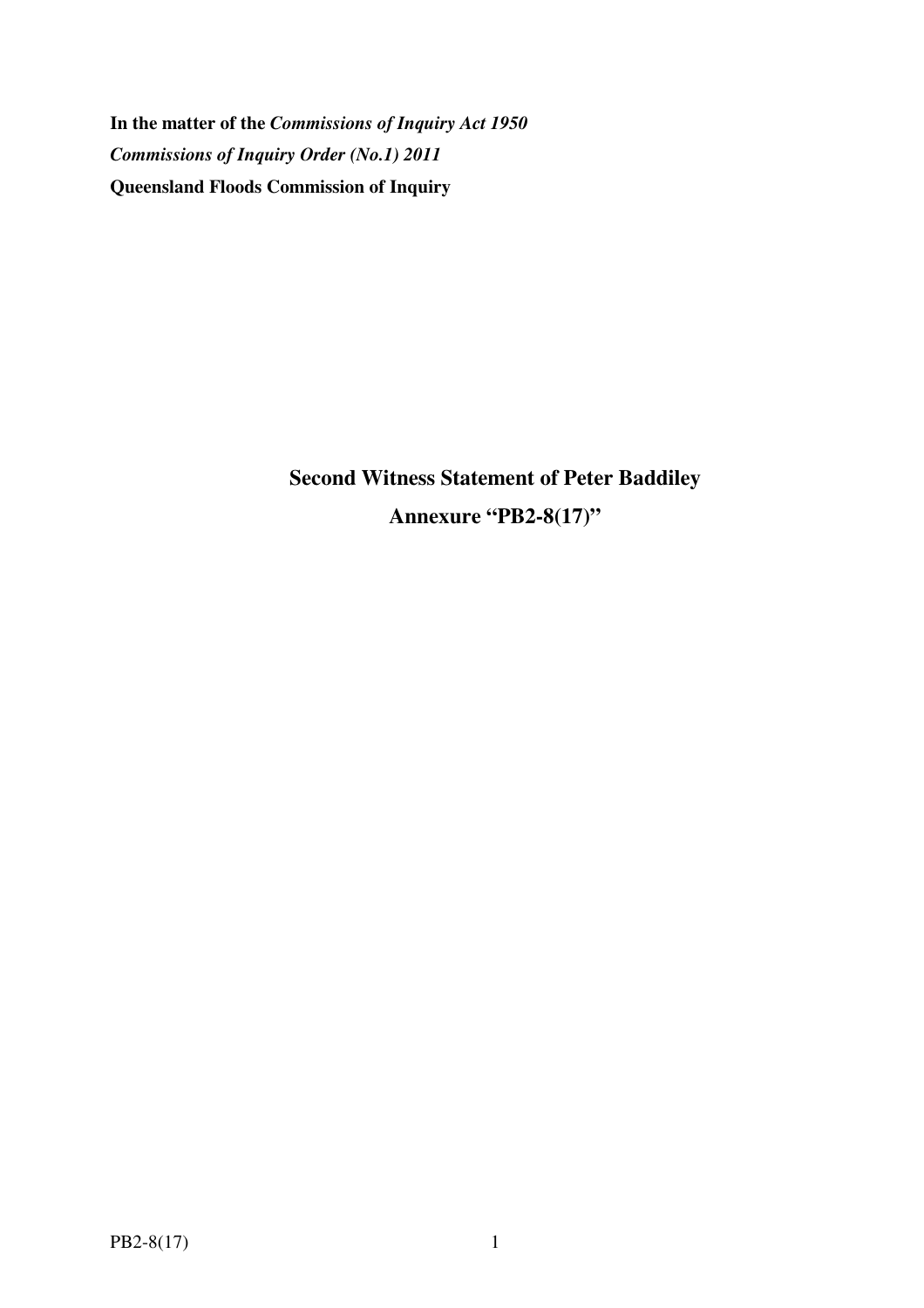**In the matter of the** *Commissions of Inquiry Act 1950 Commissions of Inquiry Order (No.1) 2011* **Queensland Floods Commission of Inquiry** 

> **Second Witness Statement of Peter Baddiley Annexure "PB2-8(17)"**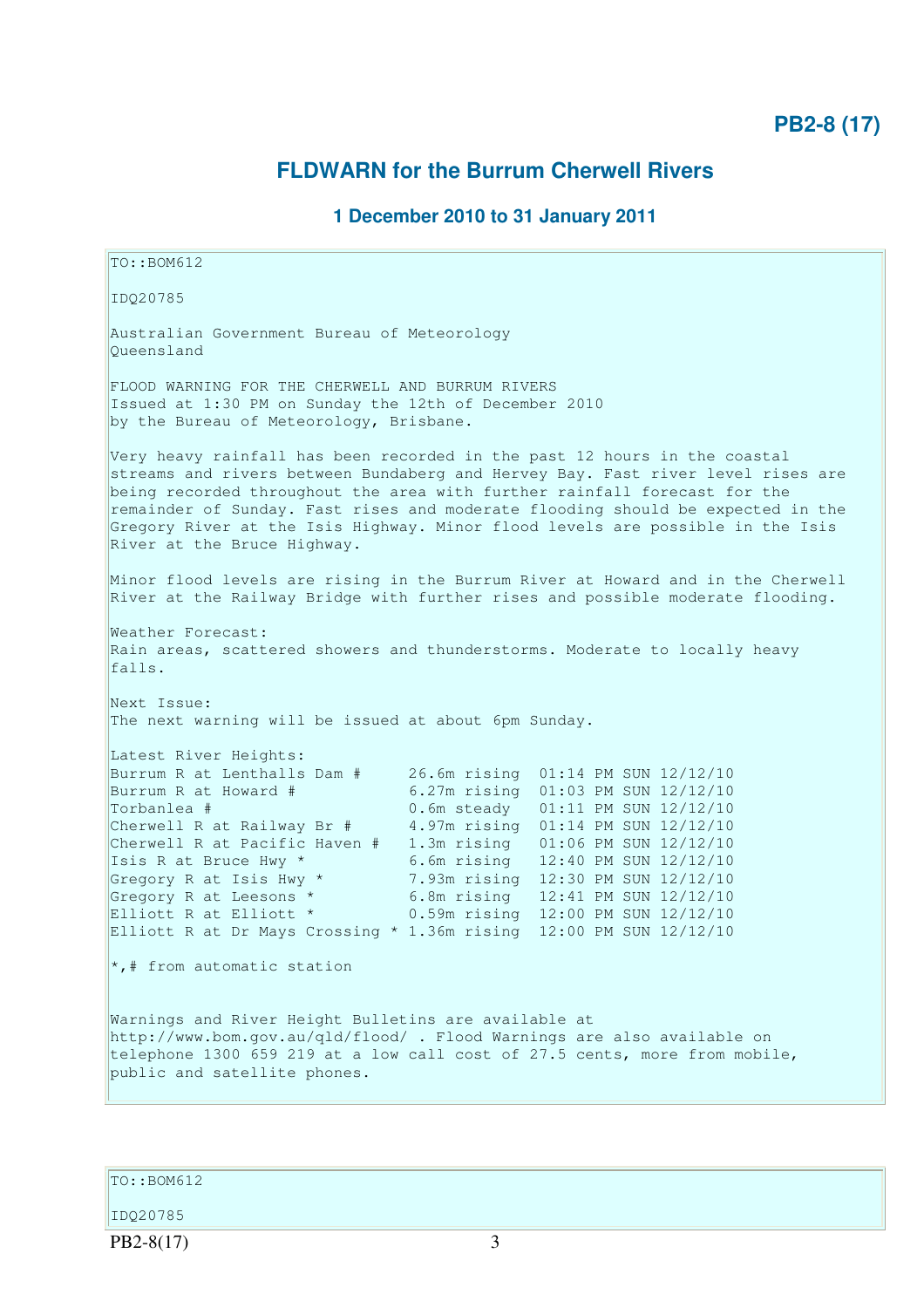## **PB2-8 (17)**

## **FLDWARN for the Burrum Cherwell Rivers**

## **1 December 2010 to 31 January 2011**

TO::BOM612 IDQ20785 Australian Government Bureau of Meteorology Queensland FLOOD WARNING FOR THE CHERWELL AND BURRUM RIVERS Issued at 1:30 PM on Sunday the 12th of December 2010 by the Bureau of Meteorology, Brisbane. Very heavy rainfall has been recorded in the past 12 hours in the coastal streams and rivers between Bundaberg and Hervey Bay. Fast river level rises are being recorded throughout the area with further rainfall forecast for the remainder of Sunday. Fast rises and moderate flooding should be expected in the Gregory River at the Isis Highway. Minor flood levels are possible in the Isis River at the Bruce Highway. Minor flood levels are rising in the Burrum River at Howard and in the Cherwell River at the Railway Bridge with further rises and possible moderate flooding. Weather Forecast: Rain areas, scattered showers and thunderstorms. Moderate to locally heavy falls. Next Issue: The next warning will be issued at about 6pm Sunday. Latest River Heights: Burrum R at Lenthalls Dam # 26.6m rising 01:14 PM SUN 12/12/10 Burrum R at Howard # 6.27m rising 01:03 PM SUN 12/12/10 Torbanlea # 0.6m steady 01:11 PM SUN 12/12/10 Cherwell R at Railway Br # 4.97m rising 01:14 PM SUN 12/12/10 Cherwell R at Pacific Haven  $\#$  1.3m rising 01:06 PM SUN 12/12/10<br>Isis R at Bruce Hwy \* 6.6m rising 12:40 PM SUN 12/12/10 Isis R at Bruce Hwy \* 6.6m rising  $12:40$  PM SUN  $12/12/10$ <br>Gregory R at Isis Hwy \* 7.93m rising  $12:30$  PM SUN  $12/12/10$ 7.93m rising 12:30 PM SUN 12/12/10 Gregory R at Leesons \* 6.8m rising 12:41 PM SUN 12/12/10 Elliott R at Elliott \* 0.59m rising 12:00 PM SUN 12/12/10 Elliott R at Dr Mays Crossing \* 1.36m rising 12:00 PM SUN 12/12/10  $\star$ ,# from automatic station Warnings and River Height Bulletins are available at http://www.bom.gov.au/qld/flood/ . Flood Warnings are also available on telephone 1300 659 219 at a low call cost of 27.5 cents, more from mobile, public and satellite phones.

 $|$ TO::BOM612

IDQ20785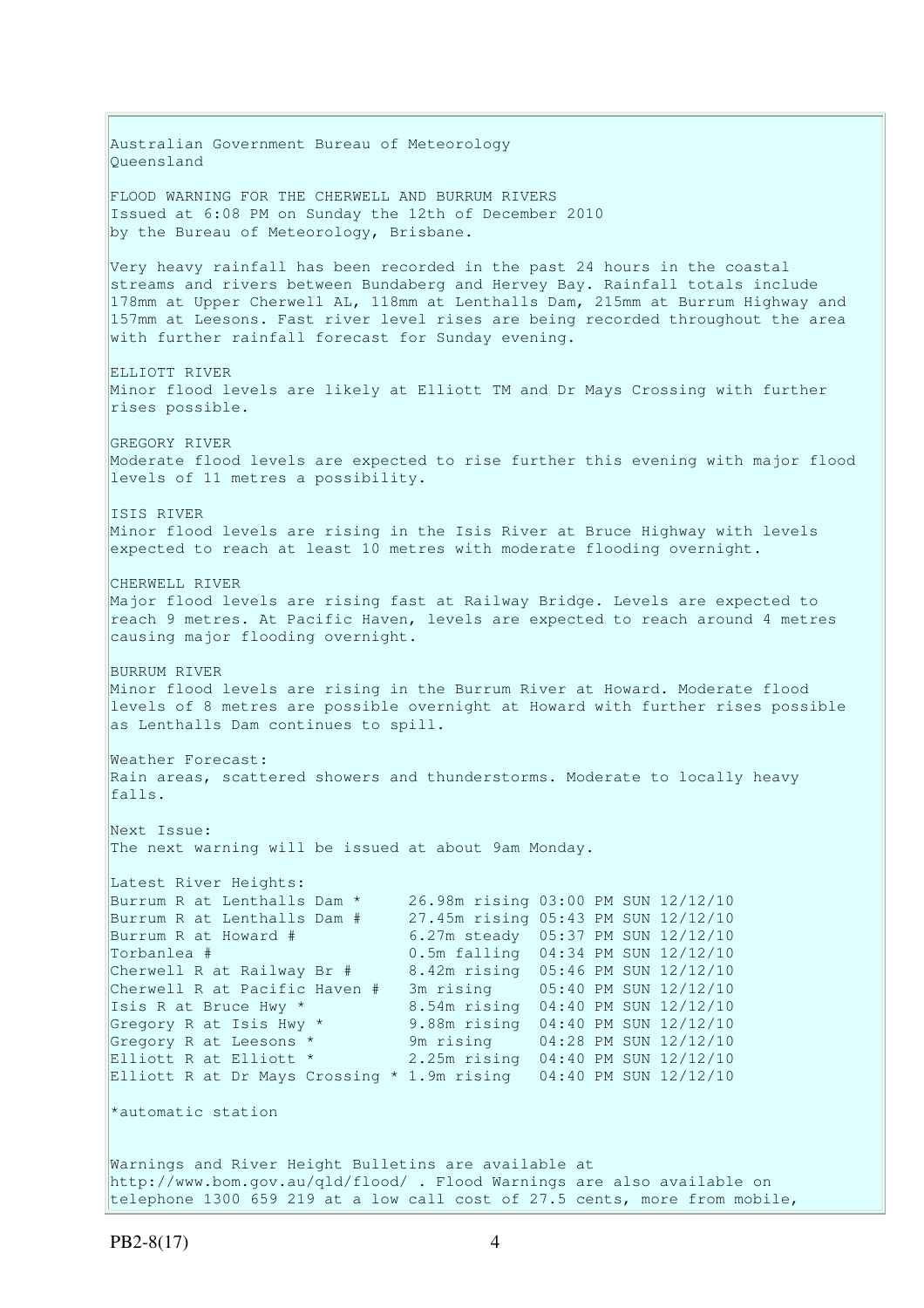Australian Government Bureau of Meteorology Queensland FLOOD WARNING FOR THE CHERWELL AND BURRUM RIVERS Issued at 6:08 PM on Sunday the 12th of December 2010 by the Bureau of Meteorology, Brisbane. Very heavy rainfall has been recorded in the past 24 hours in the coastal streams and rivers between Bundaberg and Hervey Bay. Rainfall totals include 178mm at Upper Cherwell AL, 118mm at Lenthalls Dam, 215mm at Burrum Highway and 157mm at Leesons. Fast river level rises are being recorded throughout the area with further rainfall forecast for Sunday evening. ELLIOTT RIVER Minor flood levels are likely at Elliott TM and Dr Mays Crossing with further rises possible. **GREGORY RIVER** Moderate flood levels are expected to rise further this evening with major flood levels of 11 metres a possibility. ISIS RIVER Minor flood levels are rising in the Isis River at Bruce Highway with levels expected to reach at least 10 metres with moderate flooding overnight. CHERWELL RIVER Major flood levels are rising fast at Railway Bridge. Levels are expected to reach 9 metres. At Pacific Haven, levels are expected to reach around 4 metres causing major flooding overnight. BURRUM RIVER Minor flood levels are rising in the Burrum River at Howard. Moderate flood levels of 8 metres are possible overnight at Howard with further rises possible as Lenthalls Dam continues to spill. Weather Forecast: Rain areas, scattered showers and thunderstorms. Moderate to locally heavy falls. Next Issue: The next warning will be issued at about 9am Monday. Latest River Heights: Burrum R at Lenthalls Dam \* 26.98m rising 03:00 PM SUN 12/12/10 Burrum R at Lenthalls Dam # 27.45m rising 05:43 PM SUN 12/12/10<br>Burrum R at Howard # 6.27m steady 05:37 PM SUN 12/12/10 Burrum R at Howard  $\#$  6.27m steady 05:37 PM SUN 12/12/10<br>Torbanlea  $\#$  0.5m falling 04:34 PM SUN 12/12/10  $0.5m$  falling  $04:34$  PM SUN  $12/12/10$ Cherwell R at Railway Br # 8.42m rising 05:46 PM SUN 12/12/10 Cherwell R at Pacific Haven # 3m rising 05:40 PM SUN 12/12/10 Isis R at Bruce Hwy \* 8.54m rising 04:40 PM SUN 12/12/10 Gregory R at Isis Hwy \* 9.88m rising 04:40 PM SUN 12/12/10 Gregory R at Leesons \* 9m rising 04:28 PM SUN 12/12/10 Elliott R at Elliott \* 2.25m rising 04:40 PM SUN 12/12/10 Elliott R at Dr Mays Crossing \* 1.9m rising 04:40 PM SUN 12/12/10 \*automatic station Warnings and River Height Bulletins are available at http://www.bom.gov.au/qld/flood/ . Flood Warnings are also available on

telephone 1300 659 219 at a low call cost of 27.5 cents, more from mobile,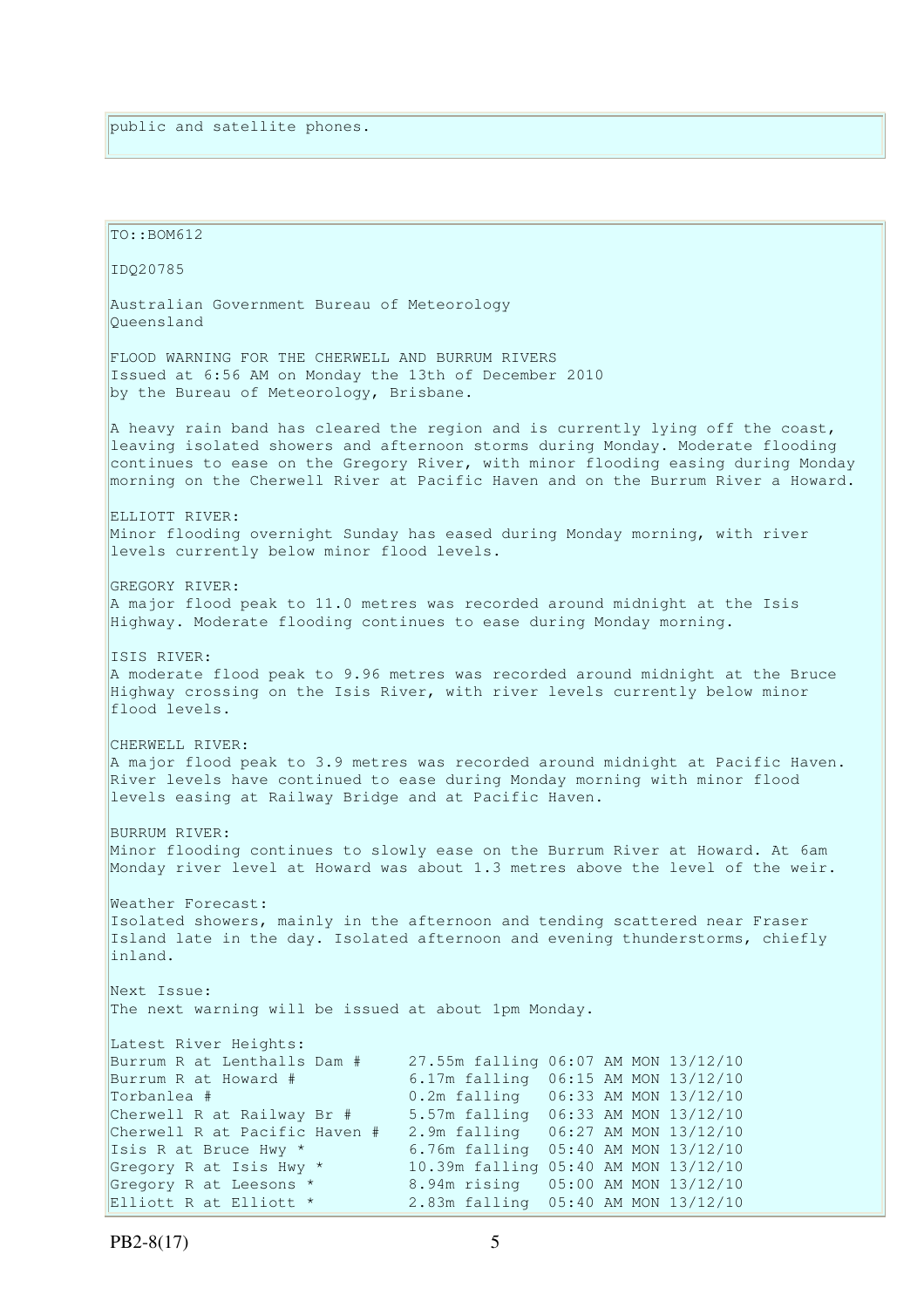| TO:: BOM612                                                                                                                                                                                                                                                                                                                                                                                                                                                                                                                                                          |
|----------------------------------------------------------------------------------------------------------------------------------------------------------------------------------------------------------------------------------------------------------------------------------------------------------------------------------------------------------------------------------------------------------------------------------------------------------------------------------------------------------------------------------------------------------------------|
| IDQ20785                                                                                                                                                                                                                                                                                                                                                                                                                                                                                                                                                             |
| Australian Government Bureau of Meteorology<br>Oueensland                                                                                                                                                                                                                                                                                                                                                                                                                                                                                                            |
| FLOOD WARNING FOR THE CHERWELL AND BURRUM RIVERS<br>Issued at 6:56 AM on Monday the 13th of December 2010<br>by the Bureau of Meteorology, Brisbane.                                                                                                                                                                                                                                                                                                                                                                                                                 |
| A heavy rain band has cleared the region and is currently lying off the coast,<br>leaving isolated showers and afternoon storms during Monday. Moderate flooding<br>continues to ease on the Gregory River, with minor flooding easing during Monday<br>morning on the Cherwell River at Pacific Haven and on the Burrum River a Howard.                                                                                                                                                                                                                             |
| ELLIOTT RIVER:<br>Minor flooding overnight Sunday has eased during Monday morning, with river<br>levels currently below minor flood levels.                                                                                                                                                                                                                                                                                                                                                                                                                          |
| GREGORY RIVER:<br>A major flood peak to 11.0 metres was recorded around midnight at the Isis<br>Highway. Moderate flooding continues to ease during Monday morning.                                                                                                                                                                                                                                                                                                                                                                                                  |
| ISIS RIVER:<br>A moderate flood peak to 9.96 metres was recorded around midnight at the Bruce<br>Highway crossing on the Isis River, with river levels currently below minor<br>flood levels.                                                                                                                                                                                                                                                                                                                                                                        |
| CHERWELL RIVER:<br>A major flood peak to 3.9 metres was recorded around midnight at Pacific Haven.<br>River levels have continued to ease during Monday morning with minor flood<br>levels easing at Railway Bridge and at Pacific Haven.                                                                                                                                                                                                                                                                                                                            |
| BURRUM RIVER:<br>Minor flooding continues to slowly ease on the Burrum River at Howard. At 6am<br>Monday river level at Howard was about 1.3 metres above the level of the weir.                                                                                                                                                                                                                                                                                                                                                                                     |
| Weather Forecast:<br>Isolated showers, mainly in the afternoon and tending scattered near Fraser<br>Island late in the day. Isolated afternoon and evening thunderstorms, chiefly<br>inland.                                                                                                                                                                                                                                                                                                                                                                         |
| Next Issue:<br>The next warning will be issued at about 1pm Monday.                                                                                                                                                                                                                                                                                                                                                                                                                                                                                                  |
| Latest River Heights:<br>Burrum R at Lenthalls Dam #<br>27.55m falling 06:07 AM MON 13/12/10<br>Burrum R at Howard #<br>6.17m falling 06:15 AM MON 13/12/10<br>Torbanlea #<br>0.2m falling  06:33 AM MON 13/12/10<br>Cherwell R at Railway Br #<br>5.57m falling 06:33 AM MON 13/12/10<br>Cherwell R at Pacific Haven #<br>2.9m falling  06:27 AM MON 13/12/10<br>Isis R at Bruce Hwy *<br>6.76m falling 05:40 AM MON 13/12/10<br>Gregory R at Isis Hwy *<br>10.39m falling 05:40 AM MON 13/12/10<br>Gregory R at Leesons *<br>8.94m rising<br>05:00 AM MON 13/12/10 |
| Elliott R at Elliott *<br>2.83m falling<br>05:40 AM MON 13/12/10                                                                                                                                                                                                                                                                                                                                                                                                                                                                                                     |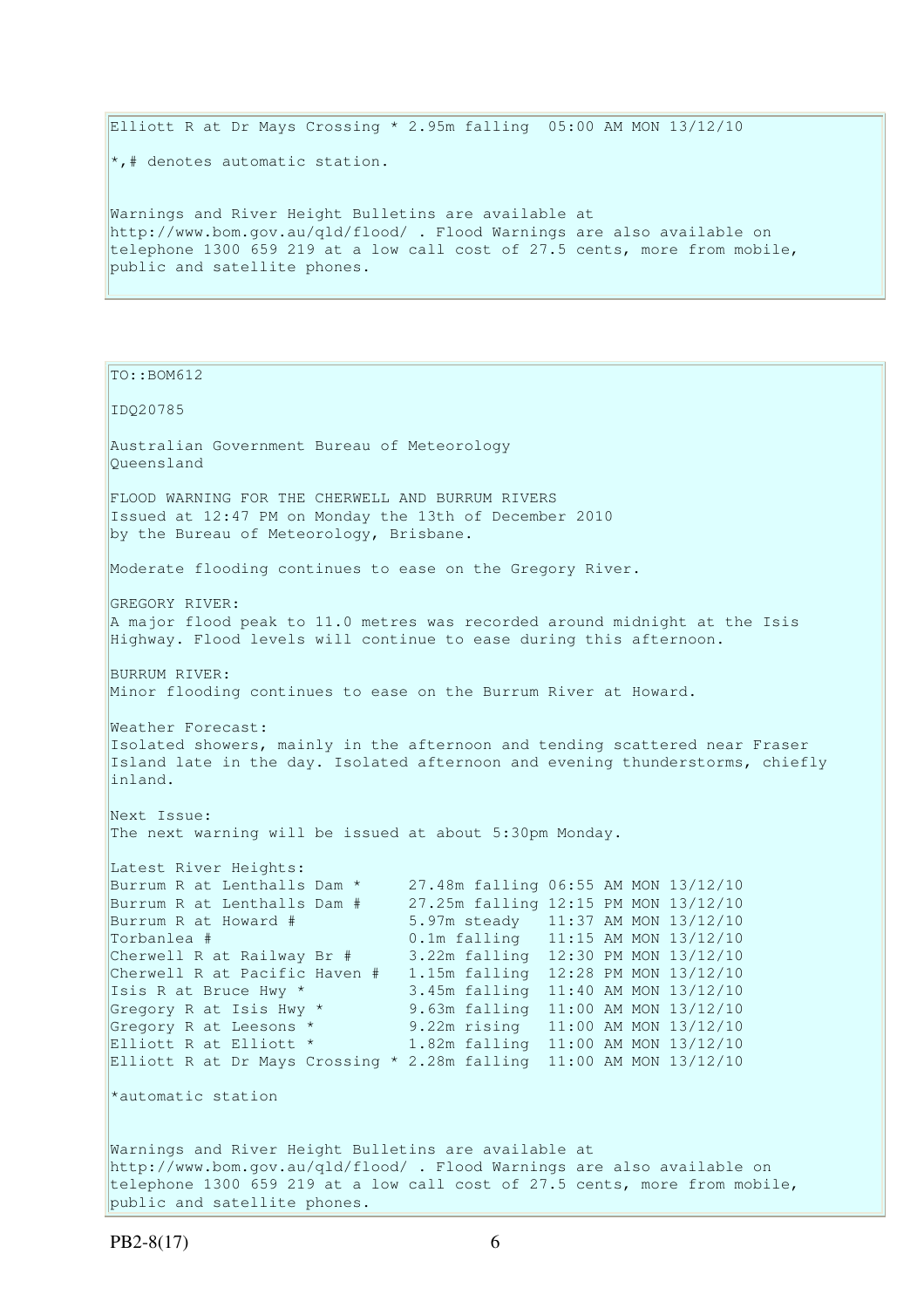Elliott R at Dr Mays Crossing  $*$  2.95m falling 05:00 AM MON 13/12/10 \*,# denotes automatic station. Warnings and River Height Bulletins are available at

http://www.bom.gov.au/qld/flood/ . Flood Warnings are also available on telephone 1300 659 219 at a low call cost of 27.5 cents, more from mobile, public and satellite phones.

IDQ20785 Australian Government Bureau of Meteorology Queensland FLOOD WARNING FOR THE CHERWELL AND BURRUM RIVERS Issued at 12:47 PM on Monday the 13th of December 2010 by the Bureau of Meteorology, Brisbane. Moderate flooding continues to ease on the Gregory River. GREGORY RIVER: A major flood peak to 11.0 metres was recorded around midnight at the Isis Highway. Flood levels will continue to ease during this afternoon. BURRUM RIVER: Minor flooding continues to ease on the Burrum River at Howard. Weather Forecast: Isolated showers, mainly in the afternoon and tending scattered near Fraser Island late in the day. Isolated afternoon and evening thunderstorms, chiefly inland. Next Issue: The next warning will be issued at about 5:30pm Monday. Latest River Heights: Burrum R at Lenthalls Dam \* 27.48m falling 06:55 AM MON 13/12/10 Burrum R at Lenthalls Dam # 27.25m falling 12:15 PM MON 13/12/10 Burrum R at Howard # 5.97m steady 11:37 AM MON 13/12/10 Torbanlea # 0.1m falling 11:15 AM MON 13/12/10<br>Cherwell R at Railway Br # 3.22m falling 12:30 PM MON 13/12/10 3.22m falling 12:30 PM MON 13/12/10 Cherwell R at Pacific Haven # 1.15m falling 12:28 PM MON 13/12/10 Isis R at Bruce Hwy \* 3.45m falling 11:40 AM MON 13/12/10 Gregory R at Isis Hwy \* 9.63m falling 11:00 AM MON 13/12/10 Gregory R at Leesons \* 9.22m rising 11:00 AM MON 13/12/10 Elliott R at Elliott \* 1.82m falling 11:00 AM MON 13/12/10 Elliott R at Dr Mays Crossing \* 2.28m falling 11:00 AM MON 13/12/10 \*automatic station Warnings and River Height Bulletins are available at http://www.bom.gov.au/qld/flood/ . Flood Warnings are also available on telephone 1300 659 219 at a low call cost of 27.5 cents, more from mobile, public and satellite phones.

TO::BOM612